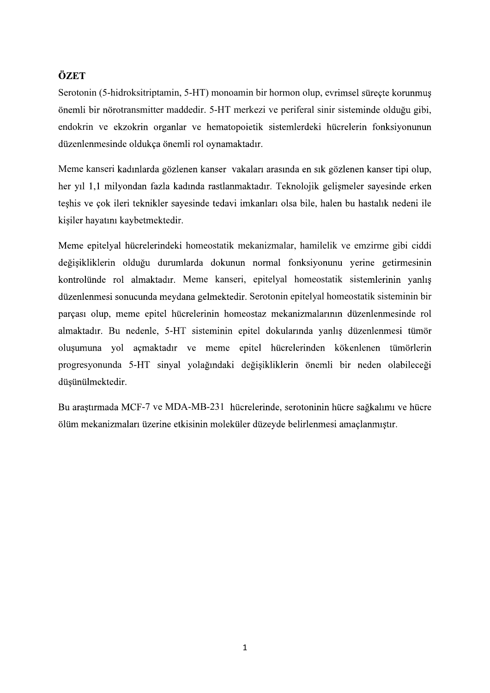**ÖZET**<br>Serotonin (5-hidroksitriptamin, 5-HT) monoamin bir hormon olup, evrimsel süreçte korunmuş<br>önemli bir nörotransmitter maddedir. 5-HT merkezi ve periferal sinir sisteminde olduğu gibi,<br>endokrin ve ekzokrin organlar ve önemli bir nörotransmitter maddedir. 5-HT merkezi ve periferal sinir sisteminde olduğu gibi, endokrin ve ekzokrin organlar ve hematopoietik sistemlerdeki hücrelerin fonksiyonunun 5-HT) monoamin bir hormon olup, evrimsel süreçte korumnuş<br>dedir. 5-HT merkezi ve periferal sinir sisteminde olduğu gibi,<br>ve hematopoietik sistemlerdeki hücrelerin fonksiyonunun<br>li rol oynamaktadır.<br>nen kanser vakaları aras

Meme kanseri kadınlarda gözlenen kanser vakaları arasında en sık gözlenen kanser tipi olup, teshis ve çok ileri teknikler sayesinde tedavi imkanları olsa bile, halen bu hastalık nedeni ile kişiler hayatını kaybetmektedir.

kontrolünde rol almaktadır. Meme kanseri, epitelyal homeostatik sistemlerinin yanlış düzenlenmesi sonucunda meydana gelmektedir. Serotonin epitelyal homeostatik sisteminin bir parçası olup, meme epitel hücrelerinin homeostaz mekanizmalarının düzenlenmesinde rol almaktadır. Bu nedenle, 5-HT sisteminin epite oluşumuna yol açmaktadır ve meme epitel hücrelerinden kökenlenen tümörlerin progresyonunda 5-HT sinyal yolağındaki değisikliklerin önemli bir neden olabileceği düşünülmektedir.

Bu araştırmada MCF-7 ve MDA-MB-231 hücrelerinde, serotoninin hücre sağkalımı ve hücre ölüm mekanizmaları üzerine etkisinin moleküler düzeyde belirlenmesi amaçlanmıştır.